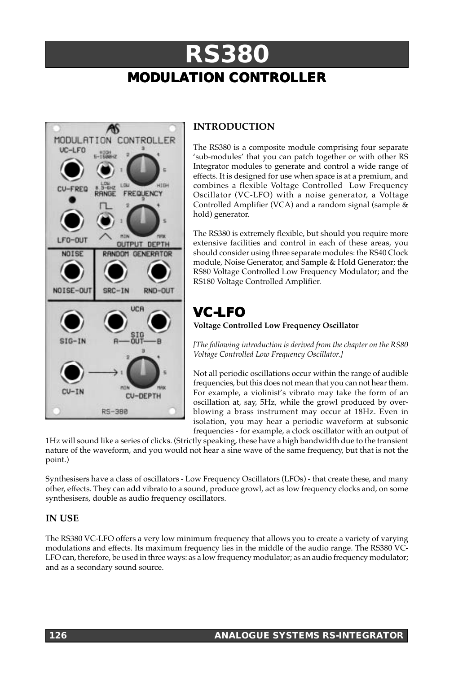# **RS380 MODULATION CONTROLLER**



## **INTRODUCTION**

The RS380 is a composite module comprising four separate 'sub-modules' that you can patch together or with other RS Integrator modules to generate and control a wide range of effects. It is designed for use when space is at a premium, and combines a flexible Voltage Controlled Low Frequency Oscillator (VC-LFO) with a noise generator, a Voltage Controlled Amplifier (VCA) and a random signal (sample & hold) generator.

The RS380 is extremely flexible, but should you require more extensive facilities and control in each of these areas, you should consider using three separate modules: the RS40 Clock module, Noise Generator, and Sample & Hold Generator; the RS80 Voltage Controlled Low Frequency Modulator; and the RS180 Voltage Controlled Amplifier.

## **VC-LFO**

**Voltage Controlled Low Frequency Oscillator**

*[The following introduction is derived from the chapter on the RS80 Voltage Controlled Low Frequency Oscillator.]*

Not all periodic oscillations occur within the range of audible frequencies, but this does not mean that you can not hear them. For example, a violinist's vibrato may take the form of an oscillation at, say, 5Hz, while the growl produced by overblowing a brass instrument may occur at 18Hz. Even in isolation, you may hear a periodic waveform at subsonic frequencies - for example, a clock oscillator with an output of

1Hz will sound like a series of clicks. (Strictly speaking, these have a high bandwidth due to the transient nature of the waveform, and you would not hear a sine wave of the same frequency, but that is not the point.)

Synthesisers have a class of oscillators - Low Frequency Oscillators (LFOs) - that create these, and many other, effects. They can add vibrato to a sound, produce growl, act as low frequency clocks and, on some synthesisers, double as audio frequency oscillators.

## **IN USE**

The RS380 VC-LFO offers a very low minimum frequency that allows you to create a variety of varying modulations and effects. Its maximum frequency lies in the middle of the audio range. The RS380 VC-LFO can, therefore, be used in three ways: as a low frequency modulator; as an audio frequency modulator; and as a secondary sound source.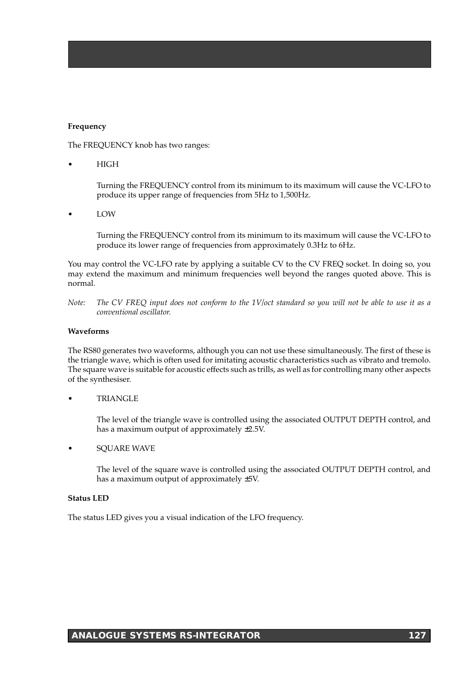#### **Frequency**

The FREQUENCY knob has two ranges:

• HIGH

Turning the FREQUENCY control from its minimum to its maximum will cause the VC-LFO to produce its upper range of frequencies from 5Hz to 1,500Hz.

• LOW

Turning the FREQUENCY control from its minimum to its maximum will cause the VC-LFO to produce its lower range of frequencies from approximately 0.3Hz to 6Hz.

You may control the VC-LFO rate by applying a suitable CV to the CV FREQ socket. In doing so, you may extend the maximum and minimum frequencies well beyond the ranges quoted above. This is normal.

*Note: The CV FREQ input does not conform to the 1V/oct standard so you will not be able to use it as a conventional oscillator.*

#### **Waveforms**

The RS80 generates two waveforms, although you can not use these simultaneously. The first of these is the triangle wave, which is often used for imitating acoustic characteristics such as vibrato and tremolo. The square wave is suitable for acoustic effects such as trills, as well as for controlling many other aspects of the synthesiser.

• TRIANGLE

The level of the triangle wave is controlled using the associated OUTPUT DEPTH control, and has a maximum output of approximately  $\pm 2.5V$ .

• SQUARE WAVE

The level of the square wave is controlled using the associated OUTPUT DEPTH control, and has a maximum output of approximately ±5V.

#### **Status LED**

The status LED gives you a visual indication of the LFO frequency.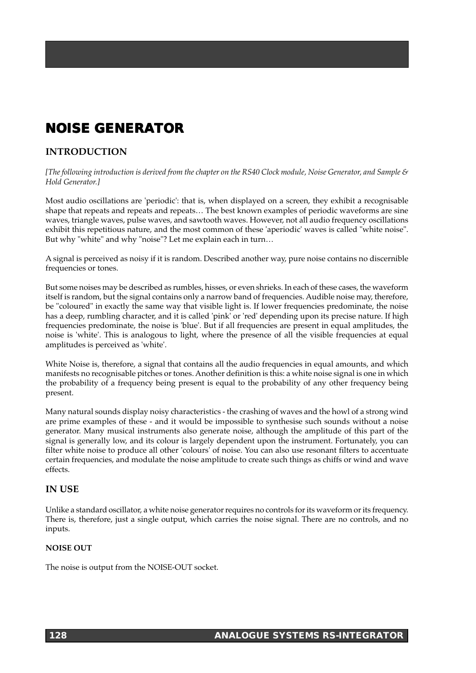## **NOISE GENERATOR**

## **INTRODUCTION**

*[The following introduction is derived from the chapter on the RS40 Clock module, Noise Generator, and Sample & Hold Generator.]*

Most audio oscillations are 'periodic': that is, when displayed on a screen, they exhibit a recognisable shape that repeats and repeats and repeats… The best known examples of periodic waveforms are sine waves, triangle waves, pulse waves, and sawtooth waves. However, not all audio frequency oscillations exhibit this repetitious nature, and the most common of these 'aperiodic' waves is called "white noise". But why "white" and why "noise"? Let me explain each in turn…

A signal is perceived as noisy if it is random. Described another way, pure noise contains no discernible frequencies or tones.

But some noises may be described as rumbles, hisses, or even shrieks. In each of these cases, the waveform itself is random, but the signal contains only a narrow band of frequencies. Audible noise may, therefore, be "coloured" in exactly the same way that visible light is. If lower frequencies predominate, the noise has a deep, rumbling character, and it is called 'pink' or 'red' depending upon its precise nature. If high frequencies predominate, the noise is 'blue'. But if all frequencies are present in equal amplitudes, the noise is 'white'. This is analogous to light, where the presence of all the visible frequencies at equal amplitudes is perceived as 'white'.

White Noise is, therefore, a signal that contains all the audio frequencies in equal amounts, and which manifests no recognisable pitches or tones. Another definition is this: a white noise signal is one in which the probability of a frequency being present is equal to the probability of any other frequency being present.

Many natural sounds display noisy characteristics - the crashing of waves and the howl of a strong wind are prime examples of these - and it would be impossible to synthesise such sounds without a noise generator. Many musical instruments also generate noise, although the amplitude of this part of the signal is generally low, and its colour is largely dependent upon the instrument. Fortunately, you can filter white noise to produce all other 'colours' of noise. You can also use resonant filters to accentuate certain frequencies, and modulate the noise amplitude to create such things as chiffs or wind and wave effects.

### **IN USE**

Unlike a standard oscillator, a white noise generator requires no controls for its waveform or its frequency. There is, therefore, just a single output, which carries the noise signal. There are no controls, and no inputs.

### **NOISE OUT**

The noise is output from the NOISE-OUT socket.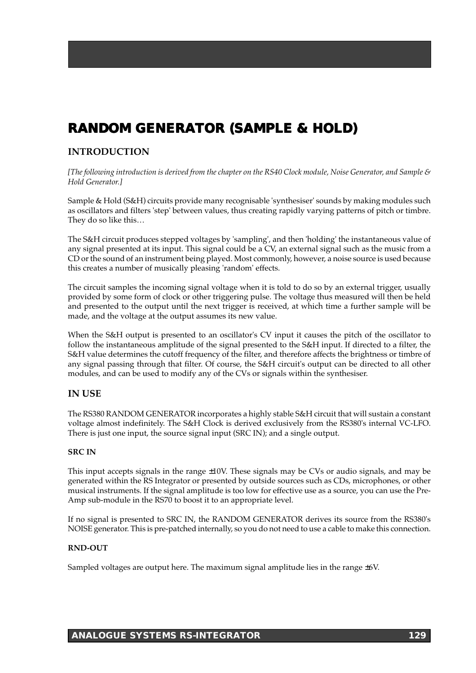## **RANDOM GENERATOR (SAMPLE & HOLD) RANDOM GENERATOR (SAMPLE & HOLD)**

### **INTRODUCTION**

*[The following introduction is derived from the chapter on the RS40 Clock module, Noise Generator, and Sample & Hold Generator.]*

Sample & Hold (S&H) circuits provide many recognisable 'synthesiser' sounds by making modules such as oscillators and filters 'step' between values, thus creating rapidly varying patterns of pitch or timbre. They do so like this…

The S&H circuit produces stepped voltages by 'sampling', and then 'holding' the instantaneous value of any signal presented at its input. This signal could be a CV, an external signal such as the music from a CD or the sound of an instrument being played. Most commonly, however, a noise source is used because this creates a number of musically pleasing 'random' effects.

The circuit samples the incoming signal voltage when it is told to do so by an external trigger, usually provided by some form of clock or other triggering pulse. The voltage thus measured will then be held and presented to the output until the next trigger is received, at which time a further sample will be made, and the voltage at the output assumes its new value.

When the S&H output is presented to an oscillator's CV input it causes the pitch of the oscillator to follow the instantaneous amplitude of the signal presented to the S&H input. If directed to a filter, the S&H value determines the cutoff frequency of the filter, and therefore affects the brightness or timbre of any signal passing through that filter. Of course, the S&H circuit's output can be directed to all other modules, and can be used to modify any of the CVs or signals within the synthesiser.

## **IN USE**

The RS380 RANDOM GENERATOR incorporates a highly stable S&H circuit that will sustain a constant voltage almost indefinitely. The S&H Clock is derived exclusively from the RS380's internal VC-LFO. There is just one input, the source signal input (SRC IN); and a single output.

### **SRC IN**

This input accepts signals in the range ±10V. These signals may be CVs or audio signals, and may be generated within the RS Integrator or presented by outside sources such as CDs, microphones, or other musical instruments. If the signal amplitude is too low for effective use as a source, you can use the Pre-Amp sub-module in the RS70 to boost it to an appropriate level.

If no signal is presented to SRC IN, the RANDOM GENERATOR derives its source from the RS380's NOISE generator. This is pre-patched internally, so you do not need to use a cable to make this connection.

### **RND-OUT**

Sampled voltages are output here. The maximum signal amplitude lies in the range  $±6V$ .